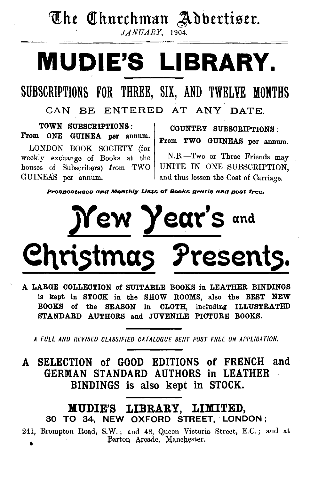### The Churchman Adbertiser.

 $JANUARY$ , 1904.

# MUDIE'S LIBRARY.

### SUBSCRIPTIONS FOR THREE, SIX, AND TWELVE MONTHS

CAN BE ENTERED AT ANY DATE.

TOWN SUBSCRIPTIONS : From ONE GUINEA per annum.

LONDON BOOK SOCIETY (for weekly exchange of Books at the houses of Subscribers) from TWO GUINEAS per annum.

COUNTRY SUBSCRIPTIONS : From TWO GUINEAS per annum.

N.B.-Two or Three Friends may UNITE IN ONE SUBSCRIPTION, and thus lessen the Cost of Carriage.

Prospectuses and Monthly Lists of Books gratis and post free.

# *Jf* ew year's and Christmas Presents.

A LARGE COLLECTION of SUITABLE BOOKS in LEATHER BINDINGS is kept in STOCK in the SHOW ROOMS, also the BEST NEW BOOKS of the SEASON in CLOTH, including ILLUSTRATED STANDARD AUTHORS and JUVENILE PICTURE BOOKS.

*A FULL AND REVISED CLASSIFIED CATALOGUE SENT POST FRE.E ON APPLICATION.* 

A SELECTION of GOOD EDITIONS of FRENCH and GERMAN STANDARD AUTHORS in LEATHER BINDINGS is also kept in STOCK.

lVIUDIE'S LIBRARY, LIMITED, 30 TO 34, NEW OXFORD STREET, · LONDON ;

241, Brompton Road, S.W.; and 48, Queen Victoria Street, E.C.; and at Barton Arcade, Manchester,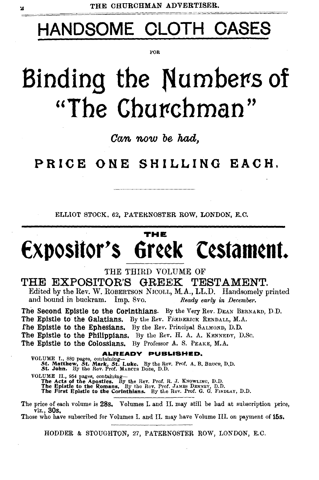## **HANDSOME CLOTH OASES**

l'OR

## **Binding the Numbers of** "The Churchman"

**Can now be had,** 

**PRICE ONE SHILLING EACH.** 

ELLIOT STOCK. 62, PATERNOSTER ROW, LONDON, E.C.

#### **THE**

## **€xposttor's Gr¢¢k C¢stam¢nt.**

#### THE THIRD VOLUME OF

#### **THE EXPOSITOR'S GREEK TESTAMENT.**

Edited by the Rev. W. ROBERTSON NICOLL, M.A., LL.D. Handsomely printed and bound in buckram. Imp. 8vo. *Ready early in December.* 

The Second Epistle to the Corinthians. By the Very Rev. DEAN BERNARD, D.D. The Epistle to the Galatians. By the Rev. FREDERICK RENDALL, M.A. fhe Epistle to the Ephesians. By the Rev. Principal SALMOND, D.D. The Epistle to the Philippians. By the Rev. H. A. A. KENNEDY, D.Sc. The Epistle to the Colossians. By Professor A. S. PEAKE, M.A.

#### **ALREADY PUBLISHED,**

VOLUME I., 880 pages, containing-<br>St. Matthew, St. Mark, St. Luke. By the Rev. Prof. A. B. BRUCE, D.D.<br>St. John. By the Rev. Prof. MARCUS Dons, D.D. VOLUME II., 954 pages, containing—<br>The Acts of the Apostles. By the Rev. Prof. R. J. KNOWLING, D.D.<br>The Epistle to the Romans. By the Rev. Prof. JAMES DENNEY, D.D.<br>The First Epistle to the Corinthians. By the Rev. Prof. G.

The price of each volume is 28s, Volumes I. and II. may still be had at subscription price, viz., 30s.

Those who have subscribed for Volumes I. and II. may have Volume III. on payment of 15s.

HODDER & STOUGHTON, 27, PATERNOSTER ROW, LONDON, E.C.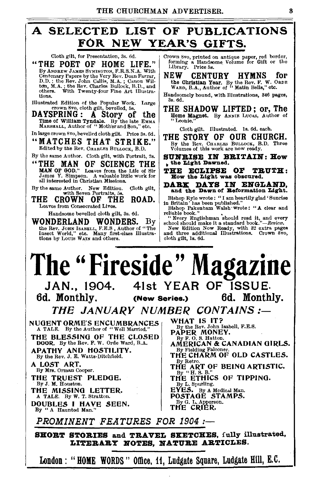### A SELECTED LIST OF PUBLICATIONS Cloth gilt, for Presentation, 3s, 6d. Cloth gro. nrinted on antique Tel.

"THE POET OF HOME LIFE." By ANDREW JAMES SYMINGTON, F.R.S.N.A. With Centenary Papers by the Very Rev. Dean Farrar, D.D.; the Rev. John Callis, M.A.; Canon Wil-<br>ton, M.A.; the Rev. Charles Bullock, B.D., and<br>others. With Twenty-four Fine Art Illustra-<br>tions.

Illustrated Edition of the Popular Work. Large crown Svo, cloth gilt, bevelled, 5s.

DAYSPRING: A Story of the Time of William Tyndale. By the late EMMA<br>MARSHALL, Author of "Moth'er and Son," etc.

In large crown 8vo, bevelled cloth gilt. Price 3s. 6d.

"MATCHES THAT STRIKE."<br>Edited by the Rev. CHARLES BULLOCK, B.D.

By the same Author. Cloth gilt, with Portrait, 2s.

"THE MAN OF SCIENCE THE MAN OF GOD." Leaves from the Life of Sir James Y. Simpson. A valuable little work for all interested in Christian Missions.

By the same Author. New Edition. Cloth gilt, with Seven Portraits, 5s.

THE CROWN OF THE ROAD. Leaves from Consecrated Lives.

Handsome bevelled cloth gilt, 8s. 6d.

WONDERLAND WONDERS. By the Rev. JOHN IsaBELL, F.E.S., Author of "The Insect World," etc. Many first-class Illustra-<br>tions by Lours WAIN and others.

Crown 8vo, printed on antique paper, red border, forming a Handsome Volume for Gift or the Library. Price 5s.

NEW CENTURY HYMNS for the Christian Year. By the Rev. F. W. OanE WARD, B.A., Author of "Matin Bells," etc.

Handsomely bound, with Illustrations, 846 pages, 8s. 6d.

THE SHADOW LIFTED ; or, The Home Magnet. By ANNIE LucAs, Author of "Leonie."

Cloth gilt. Illustrated. Is. 6d. each.

THE STORY OF OUR CHURCH. By the Rev. CHARLES BULLOCK, B.D. Three Volumes of this work are now ready.

SUNRISE IN BRITAIN: How , the Light Dawned.

THE ECLIPSE OF TRUTH: How the Light was obscured.

DARK DAYS IN ENGLAND, and the Dawn of Reformation Light.

Bishop Ryle wrote: " I am heartily glad' Sunrise in Britain' has been published." Bishop Pakenham Walsh· wrote : " A clear and

reliable book." • " Every Englishman should read it, and every school should make it a standard *book."-Revie'to.* New Edition Now Ready, with 82 extra pages and three additional Illustrations. Crown Svo,

cloth gilt, Is. 6d.

The "Fireside" Magazin<sup>'</sup><br>JAN., 1904. 41st YEAR OF ISSUE.

6d. Monthly. (New Series.) 6d. Monthly.

*TilE JANUARY NUMBER CONTAINS:-*

NUGENT ORME'S ENCUMBRANCES A TALE. By the Author of "Well Married,"

THE BLESSING OF THE CLOSED DOOR. By the Rev. F. W. Orde Ward, B.A. APATHY AND HOSTILITY.

By the Rev. J. E. Watts-Ditchfield. A LOST ART.

By Mrs. Orman Cooper.

THE TRUEST PLEDGE. By J. M. Houston. THE MISSING LETTER.<br>A TALE. By W. T. Stratton.

DOUBLES I HAVE SEEN. By "A Haunted Man."

WHAT IS IT?<br>By the Rev. John Isabell, F.E.S. PAPER MONEY.

By F. 0. R Hatton.

AMERICAN & CANADIAN GIRLS. By Fielding Falconer.<br>THE CHARM OF OLD CASTLES.

By Retro. THE ART OF BEING ARTISTIC.

 $By$  "H. S. B. THE ETHICS OF TIPPING.

By L. Spurling.

EYES. By A Medical Man.<br>POSTAGE STAMPS.

By G. L. Apperson.

THE CRIER.

*PROMINENT FEATURES FOR 1904 :-*

SHORT STORIES and TRAVEL SKETCHES, fully illustrated, LITERARY NOTES, NATURE ARTICLES.

London: "HOME WORDS" Office, 11, Ludgate Square, Ludgate Hill, E.C.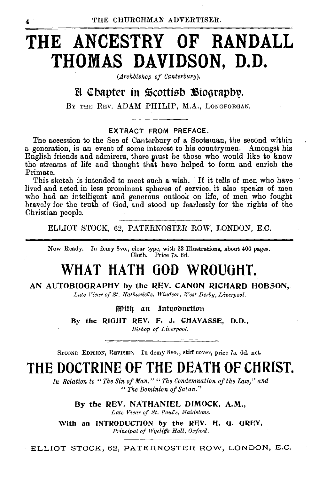### **THE ANCESTRY OF RANDALL THOMAS DAVIDSON, D.D.**

*(Archbishop of Canterbury).* 

#### B Chapter in Scottish Biography.

BY THE REV. ADAM PHILIP, M.A., LONGFORGAN.

#### EXTRACT FROM PREFACE.

The accession to the See of Canterbury of a Scotsman, the second within a generation, is an event of some interest to his countrymen. Amongst his English friends and admirers, there must be those who would like to know the streams of life and thought that have helped to form and enrich the Primate.

This sketch is intended to meet such a wish. If it tells of men who have lived and acted in less prominent spheres of service, it also speaks of men who had an intelligent and generous outlook on life, of men who fought bravely for the truth of God, and stood up fearlessly for the rights of the Christian people.

ELLIOT STOCK, 62, PATERNOSTER ROW, LONDON, E.C.

Now Ready. In demy 8vo., clear type, with 23 Illustrations, about 400 pages. Cloth. Price 7s. 6d.

### **WHAT HATH 000 WROUGHT.**

AN AUTOBIOGRAPHY by the REV. CANON RICHARD HOBSON,

Late Vicar of St. Nathaniel's, Windsor. West Derby, Liverpool.

With an Introduction

By the RIGHT REV. F. J. CHAVASSE, D.D.,

*Bishop of Liverpool.* 

SECOND EDITION, REVISED. In demy *8vo.,* stiff cover, price 7s, 6d. net.

### **THE DOCTRINE OF THE DEATH OF CHRIST.**

*In Relation to "The Sin of Man," "The Condemnation of the Law," and "The Dominion of Satan."* 

> By the REV. NATHANIEL DIMOCK, A.M., Late Vicar of St. Paul's, Maidstone.

With an INTRODUCTION by the REV. H. G. GREY, *Principal of Wycliffe Hall, Oxford.* 

ELLIOT STOCK, 62, PATERNOSTER ROW, LONDON, E.G.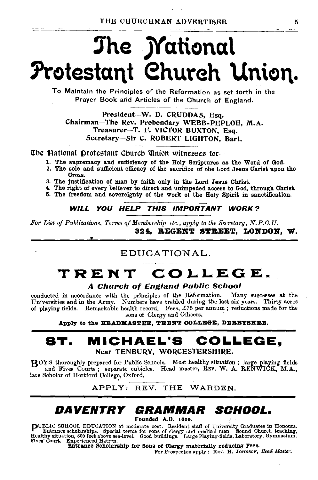## The **Mational hotestant ehureh Union.**

To Maintain the Principles of the Reformation as set torth in the Prayer Book arid Articles of the Church of England.

President-W. D. CRUDDAS, Esq. Chairman-The Rev. Prebendary WEBB-PEPLOE, M.A. Treasurer-T. F. VICTOR BUXTON, Esq. Secretary-Sir C. ROBERT LIOHTON, Bart.

The Mational Protestant Church Union witnesses for--

- 1. The supremacy and sufficiency of the Holy Scriptures as the Word of God.
- 2. The sole and sufficient efficacy of the sacrifice of the Lord Jesus Christ upon the Cross.
- 3. The justification of man by faith only in the Lord Jesus Christ.
- 4. The right of every believer to direct and unimpeded access to God, through Christ.
- 5. The freedom and sovereignty of the work of the Holy Spirit in sanctification.

WILL YOU HELP THIS IMPORTANT WORK?

*For List of Publications, Terms of Membership, etc., apply to the Secretary, N.P.O.U.*  324. BEGENT STREET, LONDON. W.

#### EDUCATIONAL.

### **TRENT COLLEGE.**

#### A Church of England Public School

conducted in accordance with the principles of the Reformation. Many successes at the Universities and in the Army. Numbers have trebled during the last six years. Thirty acres of playing fields. Remarkable health record. Fees,  $\pounds 75$  per annum; reductions made for the sons of Clergy and Officers.

Apply to the HEADMASTER. TRENT COLLEGE, DERBYSHRE.

#### **ST. MICHAEL'S COLLEGE,**  Near TENBURY, WORCESTERSHIRE.

BOYS thoroughly prepared for Public Schools. Most healthy situation; large playing fields and Fives Courts; separate cubicles. Head master, REV. W. A. RENWICK, M.A., I. (1998) Jake Scholar of Hertford College, Oxford. 4PPLY: REV. THE WARDEN.

#### **DAVENTRY GRAMMAR SCHOOL.**

Founded A.D. 1600.

**PUBLIC SCHOOL EDUCATION** at moderate cost. Resident staff of University Graduates in Honours.<br>
Entrance scholarships. Special terms for some of clergy and medical men. Sound Church teaching,<br>
Healthy situation, 800 feet a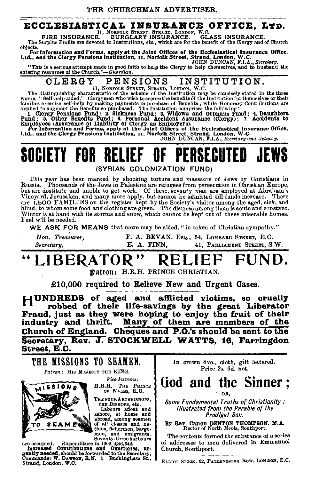### **ECCLESIASTICAL INSUBANCE OFFICE, LTD.**<br>FIRE INSURANCE. BURGLARY, STRAND, LONDON, W.C.<br>FIRE INSURANCE. SURGLARY INSURANCE. GLASS INSURANCE.

FIRE INSURANCE. BURGLARY INSURANCE. GL. FIRE INSURANCE. The Surplus Profits are devoted to Institutions, etc., which are for the benefit of the Clergy and of Church objects.

objects.<br>For Information and Forms, apply at the Joint Offices of the Ecclesiastical Insurance Office,<br>Ltd., and the Clergy Pensions Institution, 11, Norfolk Street, Strand, London, W.C.<br>JOHN DUNCAN, F.I.A., Secretary.

"This is a serious attempt made in good faith to hetp the Clergy to help themselves, and to husband the existing resources of the *Church."-Guardian.* 

CLERGY PENSIONS INSTITUTION.<br>The distinguishing characteristic of the scheme of the Institution may be concisely stated in the three<br>words, "Self-help aided." Clergymen who wish to secure the benefits of the Institution fo families exercise self-help by making payments in purchase of Benefits ; while Honorary Contributions are applied to augment the Benefits so purchased. The Institution comprises the following:

<sup>1</sup>1. Clergy Pensions Fund; 2. Sickness Fund; 3. Widows and Orphans Fund; 4. Daughters<br>Fund; 5. Other Benefits Fund; 6. Personal Accident Assurance (Clergy); 7. Accidents to<br>Employees (Assurance of Liability of Clergy as E

Ltd., and the Clergy Pensions I nstltutlon, 11, Norfolk Street, Strand, London, W .c. JOHN DUNCAN, F.I.A., *Secretary and Actuary.* 

### SOCIETY FOR RELIEF OF PERSECUTED (SYRIAN COLONIZATION FUND)

This year has been marked by shocking torture and massacre of Jews by Christians in Russia. Thousands of the Jews in Palestine are refugees from persecution iu Christian Europe, Russia. Thousands of the Jews in Palestine are refugees from persecution iu Christian Europe,<br>but are destitute and unable to get work. Of these, seventy men are employed at Abraham's<br>Vineyard, Jerusalem, and many more app Vineyard, Jerusalem, and many more apply, but cannot be admitted till funds increase. There are 1,500 FAMILIES on the register kept by the Society's visitor among the aged, sick, and blind, to whom some food and clothing are given. The distress among them is acute and constant. Winter is at hand with its storms and snow, which cannot be kept out of these miserable homes. Fuel w!ll be needed.

WE ASK FOR MEANS that more may be aided, " in token of Christian sympathy."

Hon. Treasurer, F. A. BEVAN, EsQ., 54, LOMBARD STREET, E.C. *Secretary,* E. A. FINN, 41, PARLIAMENT STREKT, S.W.

### LIBERATOR" RELIEF FUND.

Datron: H.R.H. PRINCE CHRISTIAN.

£10,000 required to Relieve New and Urgent Cases.

HUNDREDS of aged and afflicted victims, so cruelly robbed of their life-savings by the great Liberator Fraud, just as they were hoping to enjoy the fruit of their industry and thrift. Many of them are members of the Church of England. Cheques and P.O.'s should be sent to the Secretary, Rev. J. STOCKWELL WATTS, 16, Farringdon Street, E.C.



TO SEAMED of all classes and name of all classes and more mean because the specified and the mean of the mean of the properties of the presentation of the contributions and offertories, urgently needed, should be forwarde Strand, London, W.O.

In crown 8vo., cloth, gilt lettered. Price 2s. 6d. net.

God and the Sinner; OR,

*Some Fundamental Truths of Christianity: Illustrated from the Parable of the Prodigal Son.* 

By Rev. Canon DENTON THOMPSON. M.A. Rector of North Meols, Southport.

The contents formed the substance of a series of addresses to men delivered in Emmanuel Church, Southport.

ELLIOT STocK, 62, PATERNOSTER Row, LoNDON, E.C.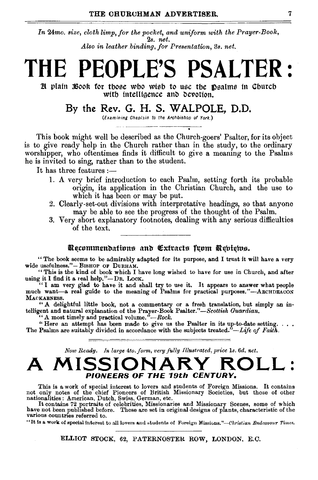*In* 24mo. *size, cloth limp, for the pocket, and uniform with the Prayer-Book,*  2s. *net. Also in leather .binding, for Presentation,* 3s. *net.* 

## **THE PEOPLE'S PSALTER:**

 $x$  plain  $x$  sook for those who wish to use the Dsalms in Church with intelligence and devotion.

#### By the Rev. G. H. S. WALPOLE, D.D.

(Examining Chaplain to the Archbishop of York.) --" -~----- -------~~-

. This book might well be described as the Church-goers' Psalter, for its object is to give ready help in the Church rather than in the study, to the ordinary worshipper, who oftentimes finds it difficult to give a meaning to the Psalms he is invited to sing, rather than to the student.

It has three features:-

- 1. A very brief introduction to each Psalm, setting forth its probable origin, its application in the Christian Church, and the use to which it has been or may be put.
- 2. Clearly-set-out divisions with interpretative headings, so that anyone may be able to see the progress of the thought of the Psalm.
- 3. Very short explanatory footnotes, dealing with any serious difficulties of the text.

#### Recommendations and Extracts from Rebiews.

" The book seems to be admirably adapted for its purpose, and I trust it will have a very wide usefulness."- BISHOP OF DURHAM.

" This is the kind of book which I have long wished to have for use in Church, and after using it I find it a real help."-DR. LocK. "I am very glad to have it and shall try to use it. It appears to answer what people

much want-a real guide to the meaning of Psalms for practical purposes."--ARCHDEACON MAOKARNESS.

"A delightful little book, not a commentary or a fresh translation, but simply an intelligent and natural explanation of the Prayer-Book Psalter."—Scottish Guardian. "A most timely and practical volume."—Rock.

"Here an attempt has been made to give us the Psalter in its up-to-date setting. . . . The Psalms are suitably divided in accordance with the subjects treated.<sup>7</sup>—Life of Faith.

*Now Ready. In large 4to.form, very .fully Illustrated, price* ls. *6d. net.* 

### **A MISSIONARY ROLL:**  PIONEERS OF **THE** 19th CENTURY.

This is a work of special interest to lovers and students of Foreign Missions. It contains not only notes of the chief Pioneers of British Missionary Societies, but those of other nationalities : American, Dutch, Swiss, German, etc.

It contains 72 portraits of celebrities, Missionaries and Missionary Scenes, some of which have not been published before. These are set in original designs of plants, characteristic of the various countries referred to.

"It is a work of special interest to all lovers and students of Foreign Missions."--Christian Endeavour Times.

ELLIOT STOCK, 62, PATERNOSTER ROW, LONDON. E.C.